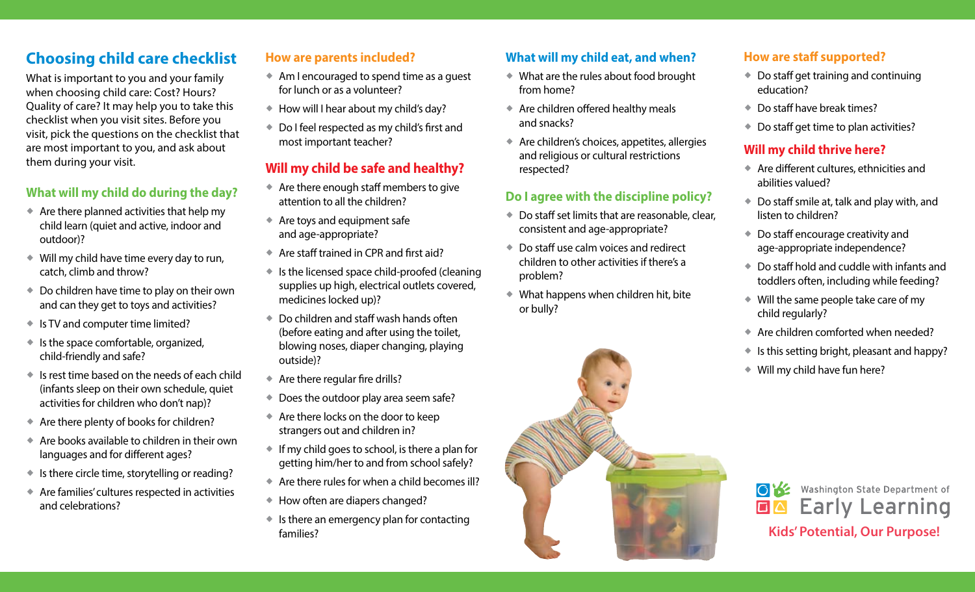# **Choosing child care checklist**

What is important to you and your family when choosing child care: Cost? Hours? Quality of care? It may help you to take this checklist when you visit sites. Before you visit, pick the questions on the checklist that are most important to you, and ask about them during your visit.

#### **What will my child do during the day?**

- $\triangle$  Are there planned activities that help my child learn (quiet and active, indoor and outdoor)?
- Will my child have time every day to run, catch, climb and throw?
- ◆ Do children have time to play on their own and can they get to toys and activities?
- ◆ Is TV and computer time limited?
- $\bullet$  Is the space comfortable, organized, child-friendly and safe?
- $\bullet$  Is rest time based on the needs of each child (infants sleep on their own schedule, quiet activities for children who don't nap)?
- Are there plenty of books for children?
- $\triangleq$  Are books available to children in their own languages and for different ages?
- $\bullet$  Is there circle time, storytelling or reading?
- Are families' cultures respected in activities and celebrations?

### **How are parents included?**

- Am I encouraged to spend time as a guest for lunch or as a volunteer?
- ◆ How will I hear about my child's day?
- ◆ Do I feel respected as my child's first and most important teacher?

# **Will my child be safe and healthy?**

- Are there enough staff members to give attention to all the children?
- Are toys and equipment safe and age-appropriate?
- ◆ Are staff trained in CPR and first aid?
- ◆ Is the licensed space child-proofed (cleaning supplies up high, electrical outlets covered, medicines locked up)?
- Do children and staff wash hands often (before eating and after using the toilet, blowing noses, diaper changing, playing outside)?
- Are there regular fire drills?
- ◆ Does the outdoor play area seem safe?
- Are there locks on the door to keep strangers out and children in?
- $\bullet$  If my child goes to school, is there a plan for getting him/her to and from school safely?
- Are there rules for when a child becomes ill?
- ◆ How often are diapers changed?
- $\bullet$  Is there an emergency plan for contacting families?

# **What will my child eat, and when?**

- What are the rules about food brought from home?
- Are children offered healthy meals and snacks?
- Are children's choices, appetites, allergies and religious or cultural restrictions respected?

#### **Do I agree with the discipline policy?**

- ◆ Do staff set limits that are reasonable, clear, consistent and age-appropriate?
- ◆ Do staff use calm voices and redirect children to other activities if there's a problem?
- What happens when children hit, bite or bully?



- ◆ Do staff get training and continuing education?
- Do staff have break times?
- ◆ Do staff get time to plan activities?

### **Will my child thrive here?**

- Are different cultures, ethnicities and abilities valued?
- Do staff smile at, talk and play with, and listen to children?
- ◆ Do staff encourage creativity and age‑appropriate independence?
- Do staff hold and cuddle with infants and toddlers often, including while feeding?
- Will the same people take care of my child regularly?
- $\triangleq$  Are children comforted when needed?
- $\bullet$  Is this setting bright, pleasant and happy?
- Will my child have fun here?